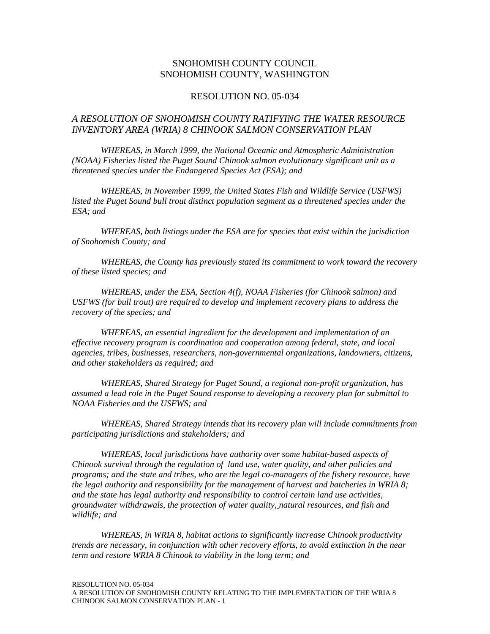#### SNOHOMISH COUNTY COUNCIL SNOHOMISH COUNTY, WASHINGTON

#### RESOLUTION NO. 05-034

#### *A RESOLUTION OF SNOHOMISH COUNTY RATIFYING THE WATER RESOURCE INVENTORY AREA (WRIA) 8 CHINOOK SALMON CONSERVATION PLAN*

*WHEREAS, in March 1999, the National Oceanic and Atmospheric Administration (NOAA) Fisheries listed the Puget Sound Chinook salmon evolutionary significant unit as a threatened species under the Endangered Species Act (ESA); and* 

*WHEREAS, in November 1999, the United States Fish and Wildlife Service (USFWS) listed the Puget Sound bull trout distinct population segment as a threatened species under the ESA; and* 

*WHEREAS, both listings under the ESA are for species that exist within the jurisdiction of Snohomish County; and* 

*WHEREAS, the County has previously stated its commitment to work toward the recovery of these listed species; and* 

*WHEREAS, under the ESA, Section 4(f), NOAA Fisheries (for Chinook salmon) and USFWS (for bull trout) are required to develop and implement recovery plans to address the recovery of the species; and* 

*WHEREAS, an essential ingredient for the development and implementation of an effective recovery program is coordination and cooperation among federal, state, and local agencies, tribes, businesses, researchers, non-governmental organizations, landowners, citizens, and other stakeholders as required; and* 

*WHEREAS, Shared Strategy for Puget Sound, a regional non-profit organization, has assumed a lead role in the Puget Sound response to developing a recovery plan for submittal to NOAA Fisheries and the USFWS; and* 

*WHEREAS, Shared Strategy intends that its recovery plan will include commitments from participating jurisdictions and stakeholders; and* 

*WHEREAS, local jurisdictions have authority over some habitat-based aspects of Chinook survival through the regulation of land use, water quality, and other policies and programs; and the state and tribes, who are the legal co-managers of the fishery resource, have the legal authority and responsibility for the management of harvest and hatcheries in WRIA 8; and the state has legal authority and responsibility to control certain land use activities, groundwater withdrawals, the protection of water quality, natural resources, and fish and wildlife; and* 

*WHEREAS, in WRIA 8, habitat actions to significantly increase Chinook productivity trends are necessary, in conjunction with other recovery efforts, to avoid extinction in the near term and restore WRIA 8 Chinook to viability in the long term; and*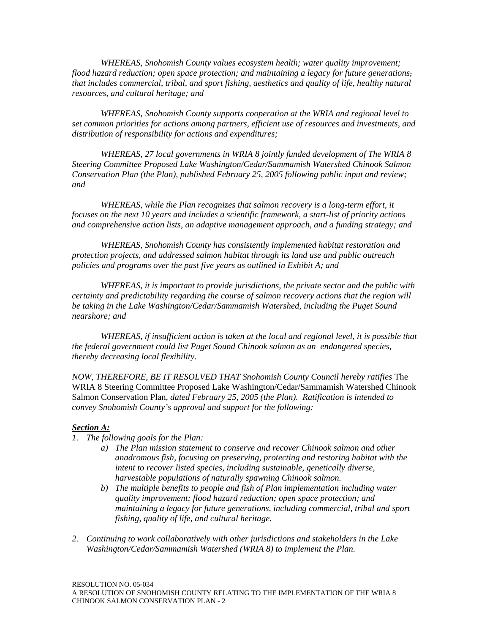*WHEREAS, Snohomish County values ecosystem health; water quality improvement; flood hazard reduction; open space protection; and maintaining a legacy for future generations, that includes commercial, tribal, and sport fishing, aesthetics and quality of life, healthy natural resources, and cultural heritage; and* 

*WHEREAS, Snohomish County supports cooperation at the WRIA and regional level to set common priorities for actions among partners, efficient use of resources and investments, and distribution of responsibility for actions and expenditures;* 

*WHEREAS, 27 local governments in WRIA 8 jointly funded development of The WRIA 8 Steering Committee Proposed Lake Washington/Cedar/Sammamish Watershed Chinook Salmon Conservation Plan (the Plan), published February 25, 2005 following public input and review; and* 

*WHEREAS, while the Plan recognizes that salmon recovery is a long-term effort, it focuses on the next 10 years and includes a scientific framework, a start-list of priority actions and comprehensive action lists, an adaptive management approach, and a funding strategy; and* 

*WHEREAS, Snohomish County has consistently implemented habitat restoration and protection projects, and addressed salmon habitat through its land use and public outreach policies and programs over the past five years as outlined in Exhibit A; and* 

*WHEREAS, it is important to provide jurisdictions, the private sector and the public with certainty and predictability regarding the course of salmon recovery actions that the region will be taking in the Lake Washington/Cedar/Sammamish Watershed, including the Puget Sound nearshore; and* 

*WHEREAS, if insufficient action is taken at the local and regional level, it is possible that the federal government could list Puget Sound Chinook salmon as an endangered species, thereby decreasing local flexibility.* 

*NOW, THEREFORE, BE IT RESOLVED THAT Snohomish County Council hereby ratifies* The WRIA 8 Steering Committee Proposed Lake Washington/Cedar/Sammamish Watershed Chinook Salmon Conservation Plan*, dated February 25, 2005 (the Plan). Ratification is intended to convey Snohomish County's approval and support for the following:* 

#### *Section A:*

- *1. The following goals for the Plan:* 
	- *a) The Plan mission statement to conserve and recover Chinook salmon and other anadromous fish, focusing on preserving, protecting and restoring habitat with the intent to recover listed species, including sustainable, genetically diverse, harvestable populations of naturally spawning Chinook salmon.*
	- *b) The multiple benefits to people and fish of Plan implementation including water quality improvement; flood hazard reduction; open space protection; and maintaining a legacy for future generations, including commercial, tribal and sport fishing, quality of life, and cultural heritage.*
- *2. Continuing to work collaboratively with other jurisdictions and stakeholders in the Lake Washington/Cedar/Sammamish Watershed (WRIA 8) to implement the Plan.*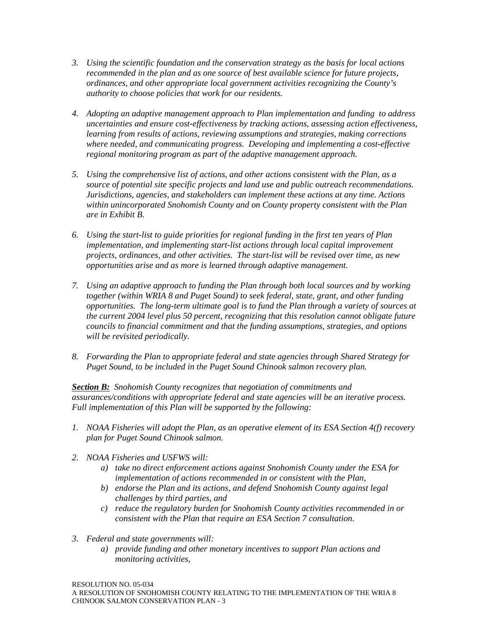- *3. Using the scientific foundation and the conservation strategy as the basis for local actions recommended in the plan and as one source of best available science for future projects, ordinances, and other appropriate local government activities recognizing the County's authority to choose policies that work for our residents.*
- *4. Adopting an adaptive management approach to Plan implementation and funding to address uncertainties and ensure cost-effectiveness by tracking actions, assessing action effectiveness, learning from results of actions, reviewing assumptions and strategies, making corrections where needed, and communicating progress. Developing and implementing a cost-effective regional monitoring program as part of the adaptive management approach.*
- *5. Using the comprehensive list of actions, and other actions consistent with the Plan, as a source of potential site specific projects and land use and public outreach recommendations. Jurisdictions, agencies, and stakeholders can implement these actions at any time. Actions within unincorporated Snohomish County and on County property consistent with the Plan are in Exhibit B.*
- *6. Using the start-list to guide priorities for regional funding in the first ten years of Plan implementation, and implementing start-list actions through local capital improvement projects, ordinances, and other activities. The start-list will be revised over time, as new opportunities arise and as more is learned through adaptive management.*
- *7. Using an adaptive approach to funding the Plan through both local sources and by working together (within WRIA 8 and Puget Sound) to seek federal, state, grant, and other funding opportunities. The long-term ultimate goal is to fund the Plan through a variety of sources at the current 2004 level plus 50 percent, recognizing that this resolution cannot obligate future councils to financial commitment and that the funding assumptions, strategies, and options will be revisited periodically.*
- *8. Forwarding the Plan to appropriate federal and state agencies through Shared Strategy for Puget Sound, to be included in the Puget Sound Chinook salmon recovery plan.*

*Section B: Snohomish County recognizes that negotiation of commitments and assurances/conditions with appropriate federal and state agencies will be an iterative process. Full implementation of this Plan will be supported by the following:* 

- *1. NOAA Fisheries will adopt the Plan, as an operative element of its ESA Section 4(f) recovery plan for Puget Sound Chinook salmon.*
- *2. NOAA Fisheries and USFWS will:* 
	- *a) take no direct enforcement actions against Snohomish County under the ESA for implementation of actions recommended in or consistent with the Plan,*
	- *b) endorse the Plan and its actions, and defend Snohomish County against legal challenges by third parties, and*
	- *c) reduce the regulatory burden for Snohomish County activities recommended in or consistent with the Plan that require an ESA Section 7 consultation.*
- *3. Federal and state governments will:* 
	- *a) provide funding and other monetary incentives to support Plan actions and monitoring activities,*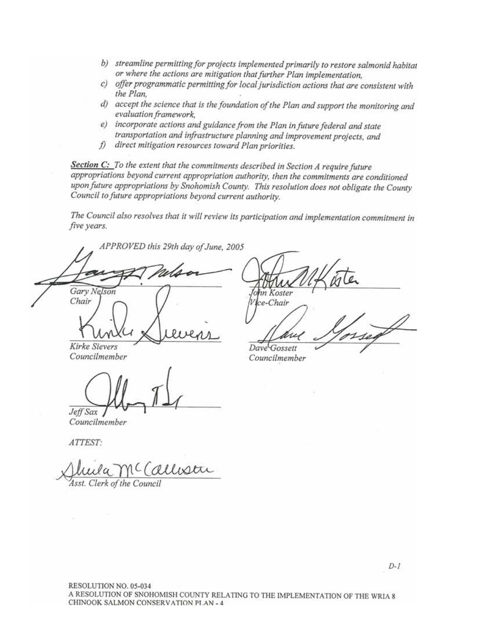- *b) streamline permitting for projects implemented primarily to restore salmonid habitat or where the actions are mitigation that further Plan implementation,*
- *c) offer programmatic permitting for local jurisdiction actions that are consistent with the Plan,*
- *d) accept the science that is the foundation of the Plan and support the monitoring and evaluation framework,*
- *e) incorporate actions and guidance from the Plan in future federal and state transportation and infrastructure planning and improvement projects, and*
- *f) direct mitigation resources toward Plan priorities.*

*Section C: To the extent that the commitments described in Section A require future appropriations beyond current appropriation authority, then the commitments are conditioned upon future appropriations by Snohomish County. This resolution does not obligate the County Council to future appropriations beyond current authority.* 

*The Council also resolves that it will review its participation and implementation commitment in five years.* 

*APPROVED this 29th day of June, 2005 \_\_\_\_\_\_\_\_\_\_\_\_\_\_\_\_\_\_\_\_\_\_\_\_\_\_\_\_\_\_\_\_\_\_ Gary Nelson Chair*   $\iota$  and  $\nu$  revent

 $-$ *THAIN VIIK LA*ILL *John Koster Vice-Chair*   $\mu_{\text{nu}}$  ) orser

*Kirke Sievers Councilmember* 

 $\sqrt{M_{\rm Pl}+1}$ *Jeff Sax* 

*Dave Gossett Councilmember* 

*Councilmember* 

*ATTEST:* 

 $\mathcal{U}\mathcal{U}\mathcal{U}\mathcal{U}$ *Asst. Clerk of the Council*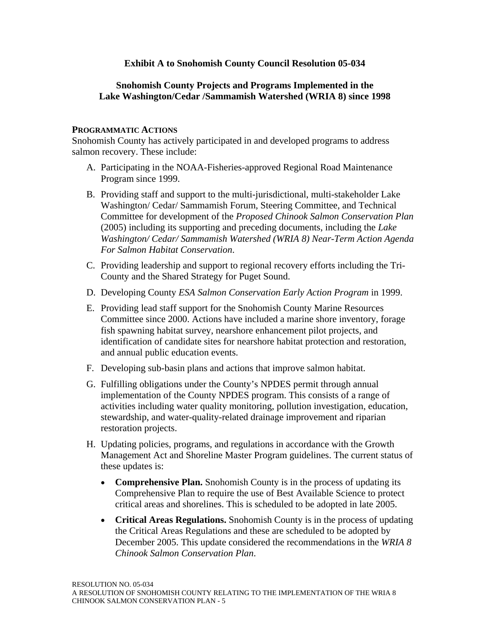### **Exhibit A to Snohomish County Council Resolution 05-034**

### **Snohomish County Projects and Programs Implemented in the Lake Washington/Cedar /Sammamish Watershed (WRIA 8) since 1998**

#### **PROGRAMMATIC ACTIONS**

Snohomish County has actively participated in and developed programs to address salmon recovery. These include:

- A. Participating in the NOAA-Fisheries-approved Regional Road Maintenance Program since 1999.
- B. Providing staff and support to the multi-jurisdictional, multi-stakeholder Lake Washington/ Cedar/ Sammamish Forum, Steering Committee, and Technical Committee for development of the *Proposed Chinook Salmon Conservation Plan*  (2005) including its supporting and preceding documents, including the *Lake Washington/ Cedar/ Sammamish Watershed (WRIA 8) Near-Term Action Agenda For Salmon Habitat Conservation*.
- C. Providing leadership and support to regional recovery efforts including the Tri-County and the Shared Strategy for Puget Sound.
- D. Developing County *ESA Salmon Conservation Early Action Program* in 1999.
- E. Providing lead staff support for the Snohomish County Marine Resources Committee since 2000. Actions have included a marine shore inventory, forage fish spawning habitat survey, nearshore enhancement pilot projects, and identification of candidate sites for nearshore habitat protection and restoration, and annual public education events.
- F. Developing sub-basin plans and actions that improve salmon habitat.
- G. Fulfilling obligations under the County's NPDES permit through annual implementation of the County NPDES program. This consists of a range of activities including water quality monitoring, pollution investigation, education, stewardship, and water-quality-related drainage improvement and riparian restoration projects.
- H. Updating policies, programs, and regulations in accordance with the Growth Management Act and Shoreline Master Program guidelines. The current status of these updates is:
	- **Comprehensive Plan.** Snohomish County is in the process of updating its Comprehensive Plan to require the use of Best Available Science to protect critical areas and shorelines. This is scheduled to be adopted in late 2005.
	- **Critical Areas Regulations.** Snohomish County is in the process of updating the Critical Areas Regulations and these are scheduled to be adopted by December 2005. This update considered the recommendations in the *WRIA 8 Chinook Salmon Conservation Plan*.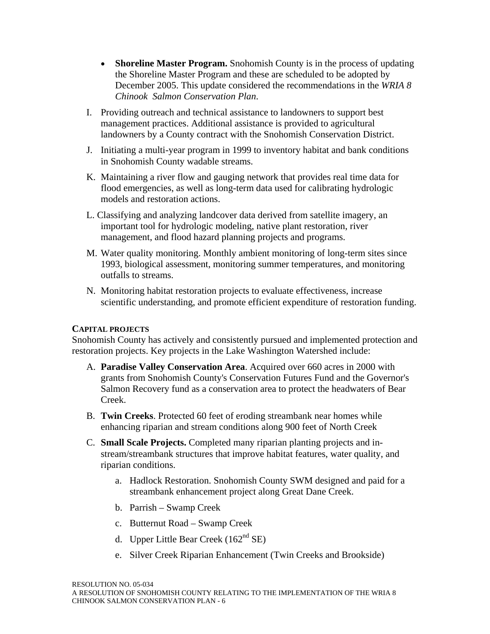- **Shoreline Master Program.** Snohomish County is in the process of updating the Shoreline Master Program and these are scheduled to be adopted by December 2005. This update considered the recommendations in the *WRIA 8 Chinook Salmon Conservation Plan*.
- I. Providing outreach and technical assistance to landowners to support best management practices. Additional assistance is provided to agricultural landowners by a County contract with the Snohomish Conservation District.
- J. Initiating a multi-year program in 1999 to inventory habitat and bank conditions in Snohomish County wadable streams.
- K. Maintaining a river flow and gauging network that provides real time data for flood emergencies, as well as long-term data used for calibrating hydrologic models and restoration actions.
- L. Classifying and analyzing landcover data derived from satellite imagery, an important tool for hydrologic modeling, native plant restoration, river management, and flood hazard planning projects and programs.
- M. Water quality monitoring. Monthly ambient monitoring of long-term sites since 1993, biological assessment, monitoring summer temperatures, and monitoring outfalls to streams.
- N. Monitoring habitat restoration projects to evaluate effectiveness, increase scientific understanding, and promote efficient expenditure of restoration funding.

### **CAPITAL PROJECTS**

Snohomish County has actively and consistently pursued and implemented protection and restoration projects. Key projects in the Lake Washington Watershed include:

- A. **Paradise Valley Conservation Area**. Acquired over 660 acres in 2000 with grants from Snohomish County's Conservation Futures Fund and the Governor's Salmon Recovery fund as a conservation area to protect the headwaters of Bear Creek.
- B. **Twin Creeks**. Protected 60 feet of eroding streambank near homes while enhancing riparian and stream conditions along 900 feet of North Creek
- C. **Small Scale Projects.** Completed many riparian planting projects and instream/streambank structures that improve habitat features, water quality, and riparian conditions.
	- a. Hadlock Restoration. Snohomish County SWM designed and paid for a streambank enhancement project along Great Dane Creek.
	- b. Parrish Swamp Creek
	- c. Butternut Road Swamp Creek
	- d. Upper Little Bear Creek  $(162<sup>nd</sup> SE)$
	- e. Silver Creek Riparian Enhancement (Twin Creeks and Brookside)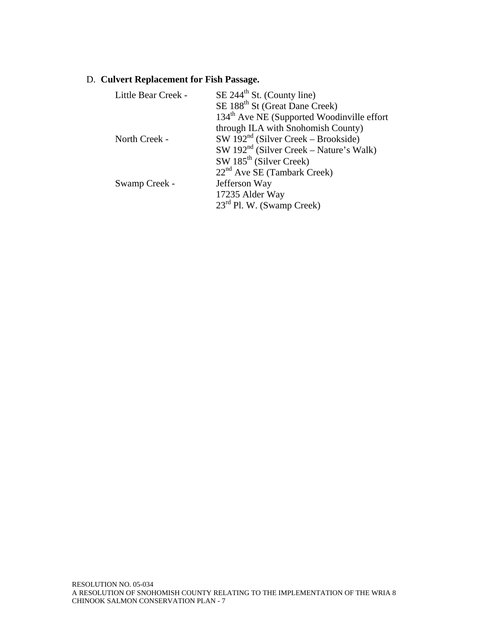# D. **Culvert Replacement for Fish Passage.**

| Little Bear Creek - | $SE$ 244 <sup>th</sup> St. (County line)               |
|---------------------|--------------------------------------------------------|
|                     | SE 188 <sup>th</sup> St (Great Dane Creek)             |
|                     | 134 <sup>th</sup> Ave NE (Supported Woodinville effort |
|                     | through ILA with Snohomish County)                     |
| North Creek -       | $SW 192nd$ (Silver Creek – Brookside)                  |
|                     | $SW 192nd$ (Silver Creek – Nature's Walk)              |
|                     | $SW 185th$ (Silver Creek)                              |
|                     | $22nd$ Ave SE (Tambark Creek)                          |
| Swamp Creek -       | Jefferson Way                                          |
|                     | 17235 Alder Way                                        |
|                     | $23rd$ Pl. W. (Swamp Creek)                            |